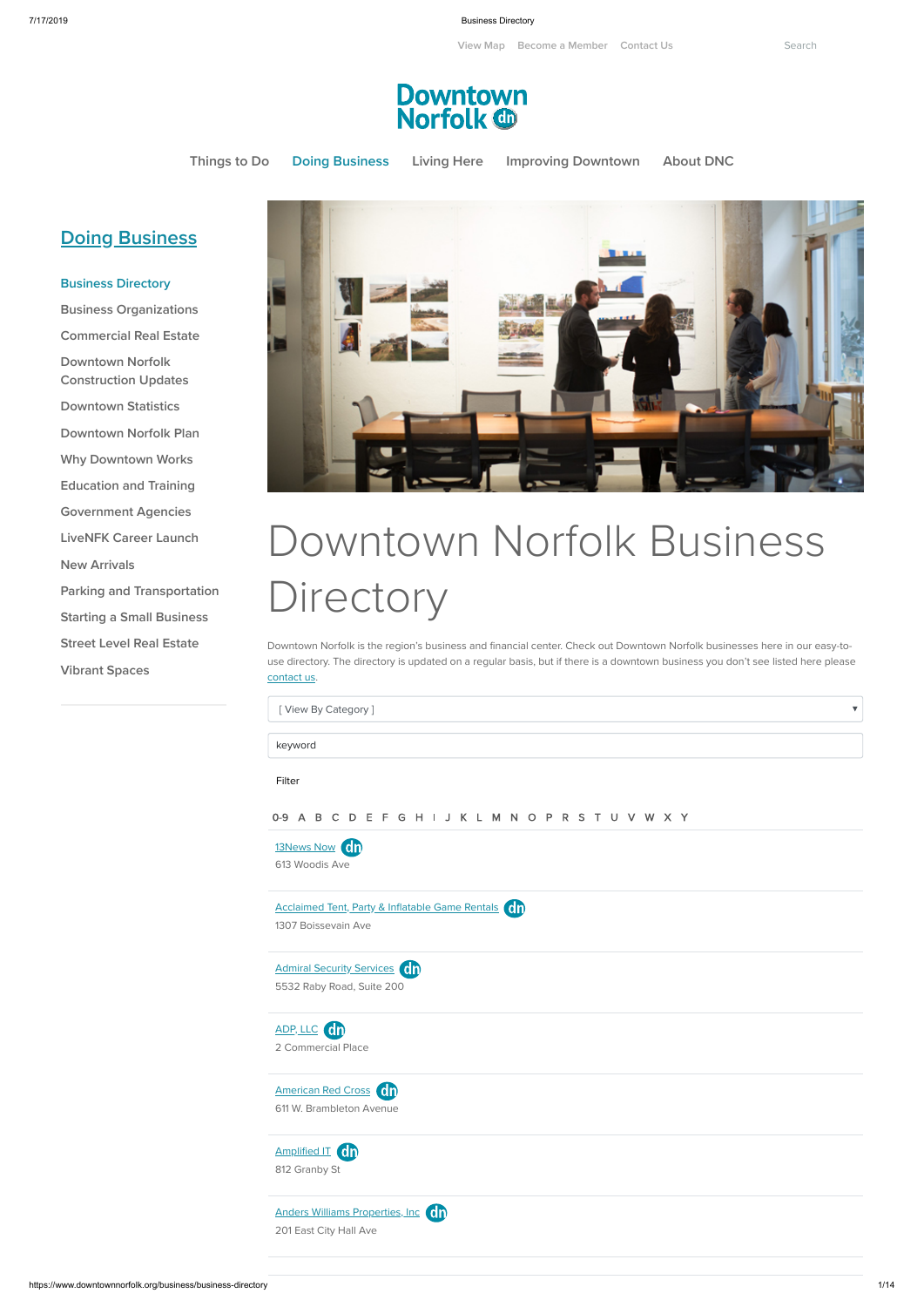7/17/2019 Business Directory

https://www.downtownnorfolk.org/business/business-directory 1/14

 $\boldsymbol{\nabla}$ 

**[View](https://www.downtownnorfolk.org/map) Map Become a [Member](https://www.downtownnorfolk.org/about/membership-information) [Contact](https://www.downtownnorfolk.org/about/contact) Us** Search



**[Things](https://www.downtownnorfolk.org/explore) to Do Doing [Business](https://www.downtownnorfolk.org/business) [Living](https://www.downtownnorfolk.org/living) Here Improving [Downtown](https://www.downtownnorfolk.org/downtown) [About](https://www.downtownnorfolk.org/about) DNC**

## **Doing [Business](https://www.downtownnorfolk.org/business)**

## Downtown Norfolk Business **Directory**

**Business [Directory](https://www.downtownnorfolk.org/business/business-directory) Business [Organizations](https://www.downtownnorfolk.org/business/business-organizations) [Commercial](https://www.downtownnorfolk.org/business/commercial-real-estate) Real Estate Downtown Norfolk [Construction](https://www.downtownnorfolk.org/business/downtown-norfolk-construction-planning) Updates [Downtown](https://www.downtownnorfolk.org/business/downtown-indicators) Statistics Downtown [Norfolk Plan](https://www.downtownnorfolk.org/business/downtown-norfolk-plan) Why [Downtown](https://www.downtownnorfolk.org/business/downtown-works-for-me) Works [Education](https://www.downtownnorfolk.org/business/education-and-training) and Training [Government](https://www.downtownnorfolk.org/business/government-agencies) Agencies [LiveNFK](https://www.downtownnorfolk.org/business/livenfkcareerlaunch) Career Launch New [Arrivals](https://www.downtownnorfolk.org/business/new-arrivals) Parking and [Transportation](https://www.downtownnorfolk.org/business/parking-and-transportation) Starting a Small [Business](https://www.downtownnorfolk.org/business/starting-a-small-business) Street Level Real [Estate](https://www.downtownnorfolk.org/business/street-level-real-estate)**

> [13News](https://www.downtownnorfolk.org/go/wvec-tv-13) Now Cn 613 Woodis Ave

[Acclaimed](https://www.downtownnorfolk.org/go/acclaimed-tent-party-and-inflatable-game-rentals) Tent, Party & Inflatable Game Rentals (Cn)

**[Vibrant](https://www.downtownnorfolk.org/business/vibrant-spaces) Spaces**



0-9 A B C D E F G H I J K L M N O P R S T U V W X Y

Downtown Norfolk is the region's business and financial center. Check out Downtown Norfolk businesses here in our easy-touse directory. The directory is updated on a regular basis, but if there is a downtown business you don't see listed here please [contact](https://www.downtownnorfolk.org/about/contact) us.

[ View By Category ]

keyword

Filter

1307 Boissevain Ave

Admiral Security [Services](https://www.downtownnorfolk.org/go/admiral-security-services1) (0<sup>n</sup>

5532 Raby Road, Suite 200







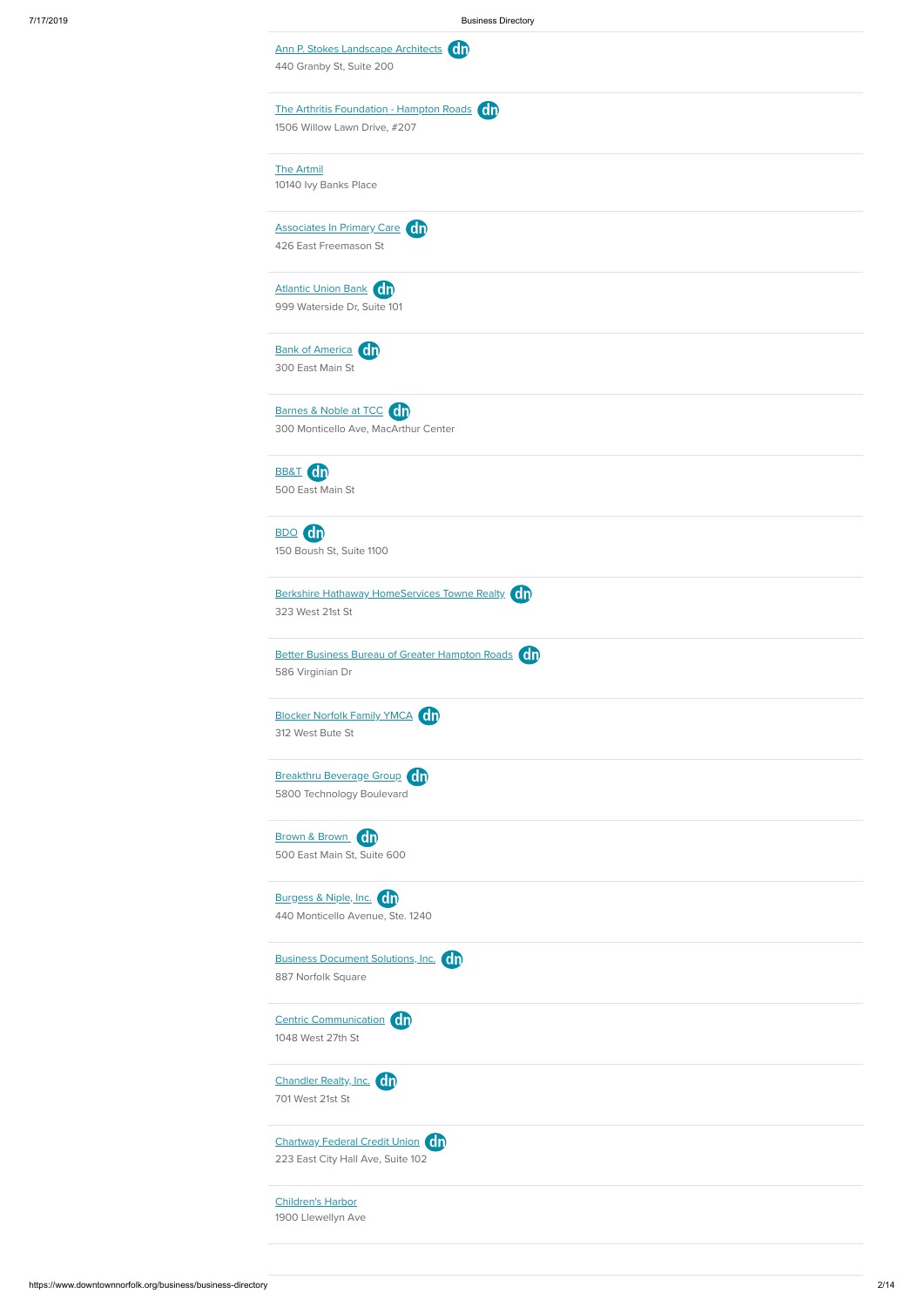Centric [Communication](https://www.downtownnorfolk.org/go/centric-communication) (On 1048 West 27th St

[Chandler](https://www.downtownnorfolk.org/go/chandler-realty-inc) Realty, Inc. 00 701 West 21st St

| Ann P. Stokes Landscape Architects Cn<br>440 Granby St, Suite 200 |  |
|-------------------------------------------------------------------|--|
| The Arthritis Foundation - Hampton Roads On                       |  |
| 1506 Willow Lawn Drive, #207                                      |  |
| <b>The Artmil</b>                                                 |  |
| 10140 Ivy Banks Place                                             |  |
| Associates In Primary Care                                        |  |
| 426 East Freemason St                                             |  |
| <b>Atlantic Union Bank</b> On                                     |  |
| 999 Waterside Dr, Suite 101                                       |  |
| <b>Bank of America</b> On                                         |  |
| 300 East Main St                                                  |  |
| Barnes & Noble at TCC (dn                                         |  |
| 300 Monticello Ave, MacArthur Center                              |  |
| BB&T Cn                                                           |  |
| 500 East Main St                                                  |  |
| <b>dn</b><br>BDO (                                                |  |
| 150 Boush St, Suite 1100                                          |  |
| Berkshire Hathaway HomeServices Towne Realty Cn                   |  |
| 323 West 21st St                                                  |  |
| <b>Better Business Bureau of Greater Hampton Roads</b> On         |  |
| 586 Virginian Dr                                                  |  |
| <b>Blocker Norfolk Family YMCA</b> Cn                             |  |
| 312 West Bute St                                                  |  |
| Breakthru Beverage Group                                          |  |
| 5800 Technology Boulevard                                         |  |
| Brown & Brown Cn                                                  |  |
| 500 East Main St, Suite 600                                       |  |
| Burgess & Niple, Inc. 00                                          |  |
| 440 Monticello Avenue, Ste. 1240                                  |  |
| Business Document Solutions, Inc. 00                              |  |

[Chartway](https://www.downtownnorfolk.org/go/chartway-federal-credit-union) Federal Credit Union On 223 East City Hall Ave, Suite 102

[Children's](https://www.downtownnorfolk.org/go/childrens-harbor) Harbor

1900 Llewellyn Ave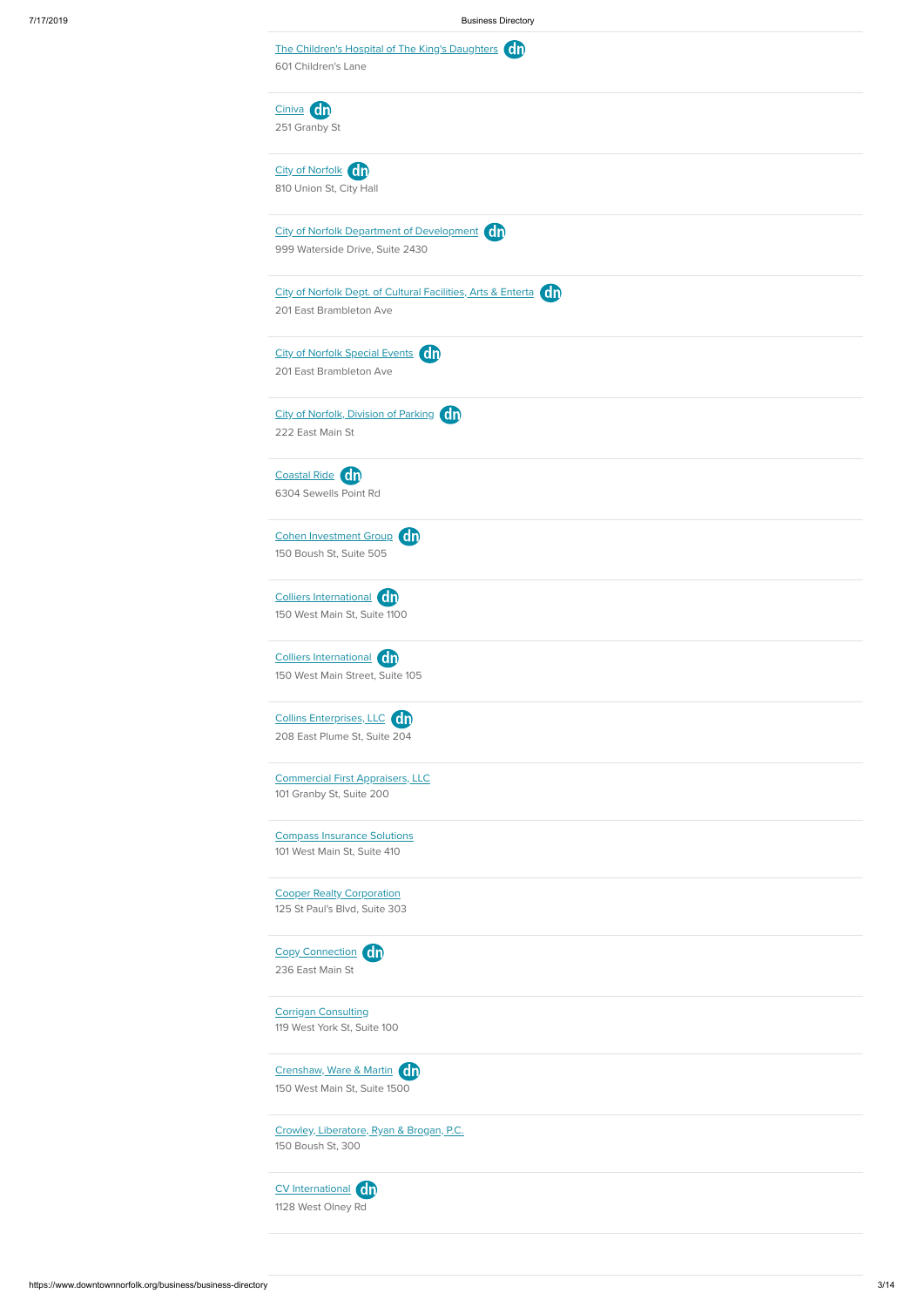7/17/2019 Business Directory

|               | The Children's Hospital of The King's Daughters (dn<br>601 Children's Lane |
|---------------|----------------------------------------------------------------------------|
| Ciniva dn     |                                                                            |
| 251 Granby St |                                                                            |
|               | City of Norfolk Cn                                                         |
|               | 810 Union St, City Hall                                                    |
|               | <b>City of Norfolk Department of Development On</b>                        |
|               | 999 Waterside Drive, Suite 2430                                            |
|               | City of Norfolk Dept. of Cultural Facilities, Arts & Enterta (dn)          |
|               | 201 East Brambleton Ave                                                    |
|               | <b>City of Norfolk Special Events</b> Cn                                   |
|               | 201 East Brambleton Ave                                                    |
|               | City of Norfolk, Division of Parking Cn                                    |
|               | 222 East Main St                                                           |
|               | Coastal Ride Cn                                                            |
|               | 6304 Sewells Point Rd                                                      |
|               | Cohen Investment Group                                                     |
|               | 150 Boush St, Suite 505                                                    |
|               | Colliers International Cn                                                  |
|               | 150 West Main St, Suite 1100                                               |
|               | Colliers International On                                                  |
|               | 150 West Main Street, Suite 105                                            |
|               | Collins Enterprises, LLC Cn                                                |
|               | 208 East Plume St, Suite 204                                               |
|               | <b>Commercial First Appraisers, LLC</b>                                    |
|               | 101 Granby St, Suite 200                                                   |
|               | <b>Compass Insurance Solutions</b>                                         |
|               | 101 West Main St, Suite 410                                                |
|               | <b>Cooper Realty Corporation</b>                                           |
|               | 125 St Paul's Blvd, Suite 303                                              |

[Crenshaw,](https://www.downtownnorfolk.org/go/crenshaw-ware-and-martin) Ware & Martin Ch 150 West Main St, Suite 1500

236 East Main St

Corrigan [Consulting](https://www.downtownnorfolk.org/go/corrigan-consulting)

119 West York St, Suite 100

Crowley, [Liberatore,](https://www.downtownnorfolk.org/go/crowley-liberatore-ryan-and-brogan-pc) Ryan & Brogan, P.C.

150 Boush St, 300

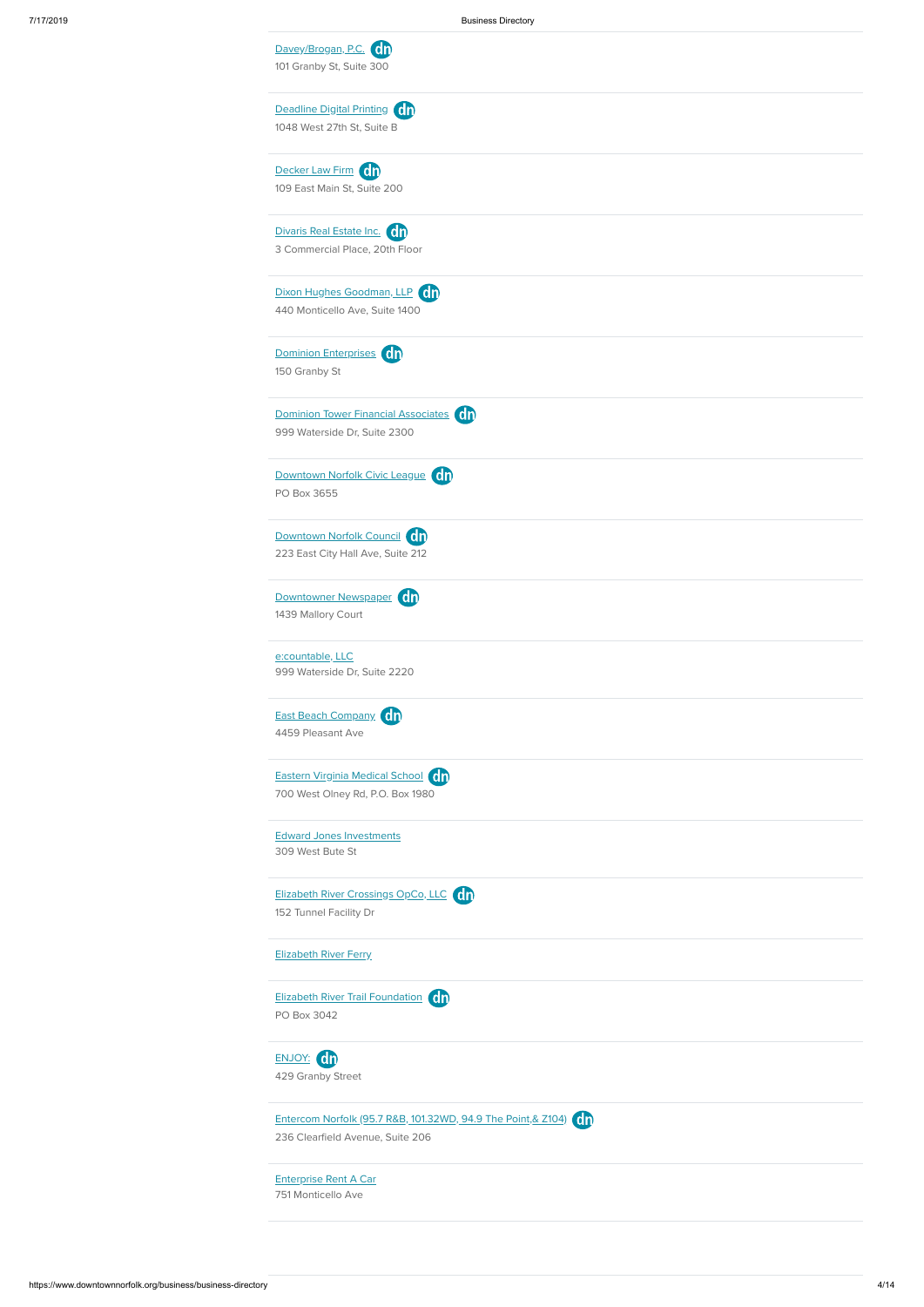| Davey/Brogan, P.C. 01<br>101 Granby St, Suite 300                      |
|------------------------------------------------------------------------|
| Deadline Digital Printing Cn<br>1048 West 27th St, Suite B             |
| Decker Law Firm Cn<br>109 East Main St, Suite 200                      |
| Divaris Real Estate Inc. (00<br>3 Commercial Place, 20th Floor         |
| Dixon Hughes Goodman, LLP Cn<br>440 Monticello Ave, Suite 1400         |
| Dominion Enterprises dn<br>150 Granby St                               |
| Dominion Tower Financial Associates Cn<br>999 Waterside Dr, Suite 2300 |
| Downtown Norfolk Civic League Cn<br>PO Box 3655                        |
| Downtown Norfolk Council<br>223 East City Hall Ave, Suite 212          |
| Downtowner Newspaper dn<br>1439 Mallory Court                          |
| e:countable, LLC<br>999 Waterside Dr, Suite 2220                       |
| East Beach Company On<br>4459 Pleasant Ave                             |
| Eastern Virginia Medical School Cn<br>700 West Olney Rd, P.O. Box 1980 |
| <b>Edward Jones Investments</b><br>309 West Bute St                    |
| Elizabeth River Crossings OpCo, LLC Cn<br>152 Tunnel Facility Dr       |
| <b>Elizabeth River Ferry</b>                                           |





Entercom Norfolk (95.7 R&B, 101.32WD, 94.9 The Point, & Z104) (dn

236 Clearfield Avenue, Suite 206

[Enterprise](https://www.downtownnorfolk.org/go/enterprise-rent-a-car) Rent A Car

751 Monticello Ave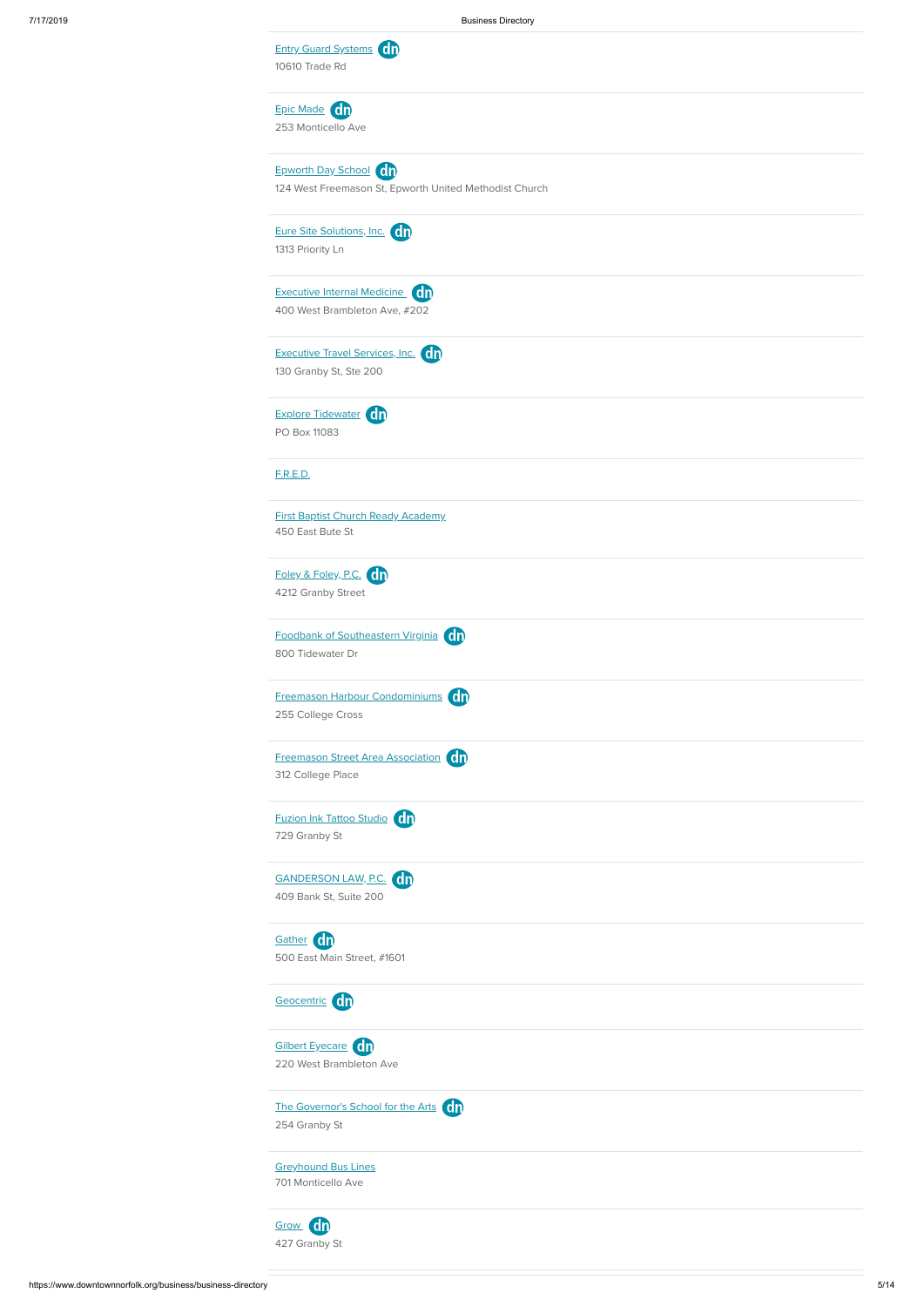| <b>Entry Guard Systems</b> On<br>10610 Trade Rd                                 |
|---------------------------------------------------------------------------------|
| Epic Made On<br>253 Monticello Ave                                              |
| Epworth Day School On<br>124 West Freemason St, Epworth United Methodist Church |
| Eure Site Solutions, Inc. 00<br>1313 Priority Ln                                |
| <b>Executive Internal Medicine</b> (ch<br>400 West Brambleton Ave, #202         |
| <b>Executive Travel Services, Inc.</b> On<br>130 Granby St, Ste 200             |
| Explore Tidewater On<br>PO Box 11083                                            |
| <b>F.R.E.D.</b>                                                                 |
| <b>First Baptist Church Ready Academy</b><br>450 East Bute St                   |
| Foley & Foley, P.C. On<br>4212 Granby Street                                    |
| Foodbank of Southeastern Virginia (dn<br>800 Tidewater Dr                       |
| Freemason Harbour Condominiums dn<br>255 College Cross                          |
| <b>Freemason Street Area Association</b> Cn<br>312 College Place                |
| Fuzion Ink Tattoo Studio Ch<br>729 Granby St                                    |
| GANDERSON LAW, P.C. 00<br>409 Bank St, Suite 200                                |
| Gather dn<br>500 East Main Street, #1601                                        |







[Greyhound](https://www.downtownnorfolk.org/go/greyhound-bus-lines) Bus Lines 701 Monticello Ave

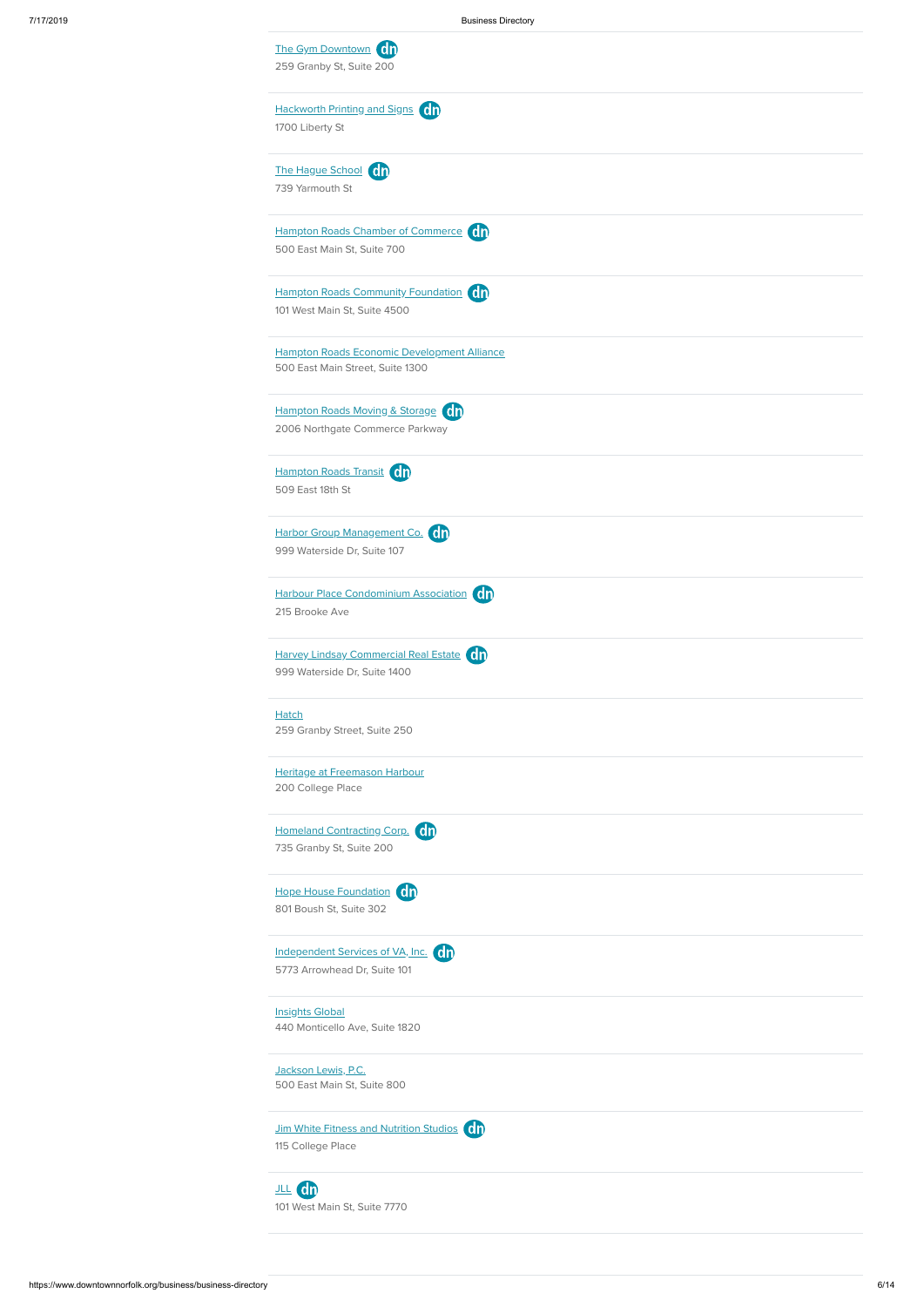| The Gym Downtown Cn<br>259 Granby St, Suite 200                                 |  |
|---------------------------------------------------------------------------------|--|
| Hackworth Printing and Signs Cn<br>1700 Liberty St                              |  |
| The Hague School (On<br>739 Yarmouth St                                         |  |
| Hampton Roads Chamber of Commerce On<br>500 East Main St, Suite 700             |  |
| Hampton Roads Community Foundation Cn<br>101 West Main St, Suite 4500           |  |
| Hampton Roads Economic Development Alliance<br>500 East Main Street, Suite 1300 |  |
| Hampton Roads Moving & Storage Cn<br>2006 Northgate Commerce Parkway            |  |
| Hampton Roads Transit Cn<br>509 East 18th St                                    |  |
| Harbor Group Management Co. (dn<br>999 Waterside Dr, Suite 107                  |  |
| Harbour Place Condominium Association (Cn)<br>215 Brooke Ave                    |  |
| Harvey Lindsay Commercial Real Estate Cn<br>999 Waterside Dr, Suite 1400        |  |
| <b>Hatch</b><br>259 Granby Street, Suite 250                                    |  |
| Heritage at Freemason Harbour<br>200 College Place                              |  |
| Homeland Contracting Corp. (0)<br>735 Granby St, Suite 200                      |  |
| Hope House Foundation Cn<br>801 Boush St, Suite 302                             |  |
| Independent Services of VA, Inc. On<br>5773 Arrowhead Dr, Suite 101             |  |

**[Insights](https://www.downtownnorfolk.org/go/insights-global) Global** 

[JLL](https://www.downtownnorfolk.org/go/jones-lang-lasalle) dn 101 West Main St, Suite 7770

440 Monticello Ave, Suite 1820

[Jackson](https://www.downtownnorfolk.org/go/jackson-lewis-pc) Lewis, P.C.

500 East Main St, Suite 800

Jim White Fitness and [Nutrition](https://www.downtownnorfolk.org/go/jim-white-fitness-and-nutrition-studios) Studios **dn** 

115 College Place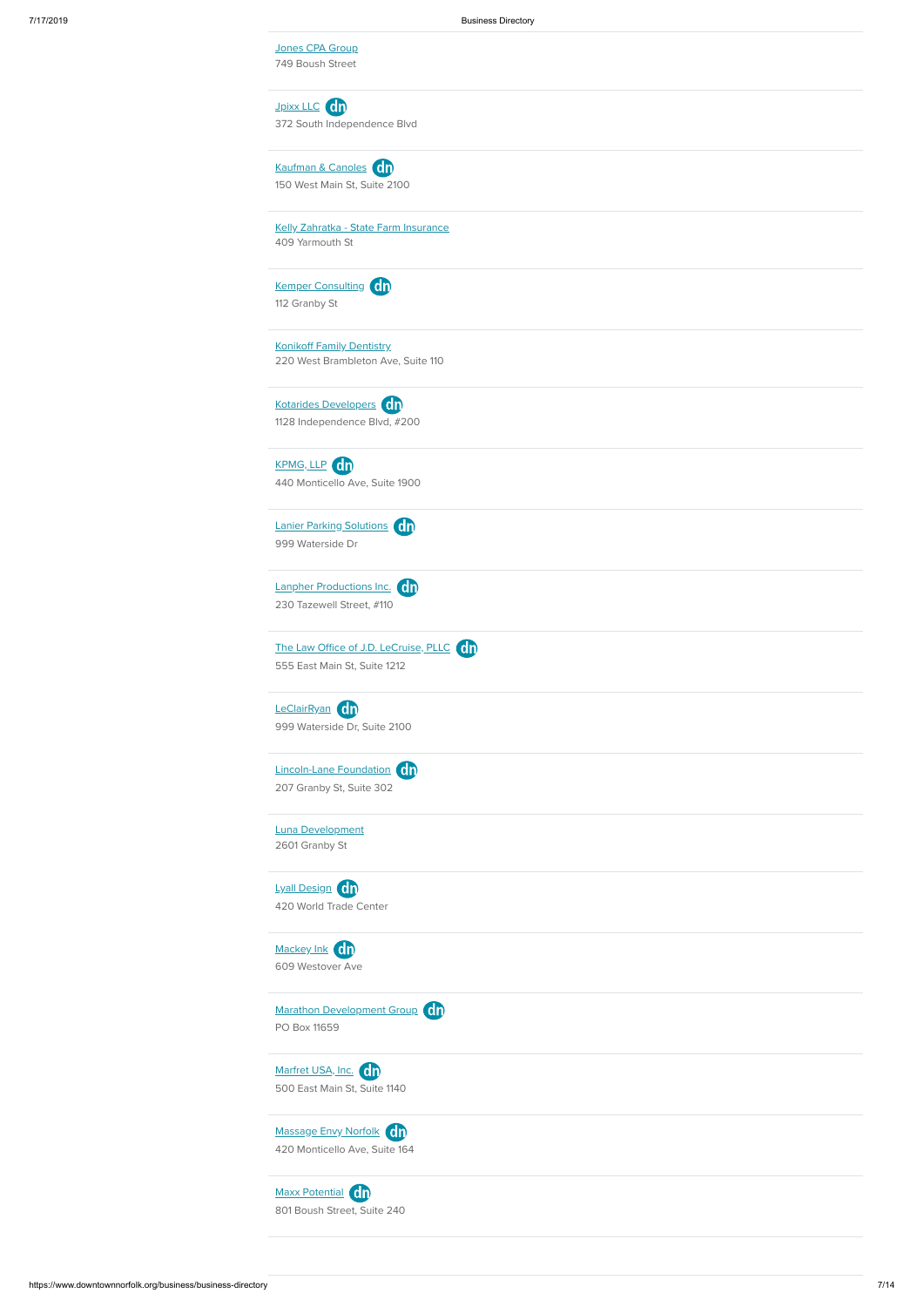[Jpixx](https://www.downtownnorfolk.org/go/jpixx-llc1) LLC **dn** 372 South Independence Blvd

[Kaufman](https://www.downtownnorfolk.org/go/kaufman-and-canoles) & Canoles **Cn** 150 West Main St, Suite 2100

Jones CPA [Group](https://www.downtownnorfolk.org/go/jones-cpa-group) 749 Boush Street

Kemper [Consulting](https://www.downtownnorfolk.org/go/kemper-consulting) On 112 Granby St

Kotarides [Developers](https://www.downtownnorfolk.org/go/kotarides-developers) **CD** 1128 Independence Blvd, #200

[KPMG,](https://www.downtownnorfolk.org/go/kpmg-llp) LLP Cn 440 Monticello Ave, Suite 1900

Kelly Zahratka - State Farm [Insurance](https://www.downtownnorfolk.org/go/kelly-zahratka-state-farm-insurance) 409 Yarmouth St

Lanier Parking [Solutions](https://www.downtownnorfolk.org/go/lanier-parking-solutions) dn 999 Waterside Dr

Lanpher [Productions](https://www.downtownnorfolk.org/go/lanpher-productions-inc) Inc. 0n 230 Tazewell Street, #110

The Law Office of J.D. [LeCruise,](https://www.downtownnorfolk.org/go/the-law-office-of-jd-lecruise-pllc) PLLC (0<sub>1</sub>) 555 East Main St, Suite 1212

[LeClairRyan](https://www.downtownnorfolk.org/go/leclairryan) dn 999 Waterside Dr, Suite 2100

Konikoff Family [Dentistry](https://www.downtownnorfolk.org/go/konikoff-family-dentistry-dr-stephen-konikoff-inc) 220 West Brambleton Ave, Suite 110

[Lincoln-Lane](https://www.downtownnorfolk.org/go/lincoln-lane-foundation) Foundation **ch** 207 Granby St, Suite 302

Lyall [Design](https://www.downtownnorfolk.org/go/lyall-design) Cn 420 World Trade Center

[Mackey](https://www.downtownnorfolk.org/go/mackey-ink) Ink cn 609 Westover Ave

[Marfret](https://www.downtownnorfolk.org/go/marfret-usa-inc) USA, Inc. On 500 East Main St, Suite 1140

Luna [Development](https://www.downtownnorfolk.org/go/luna-development) 2601 Granby St





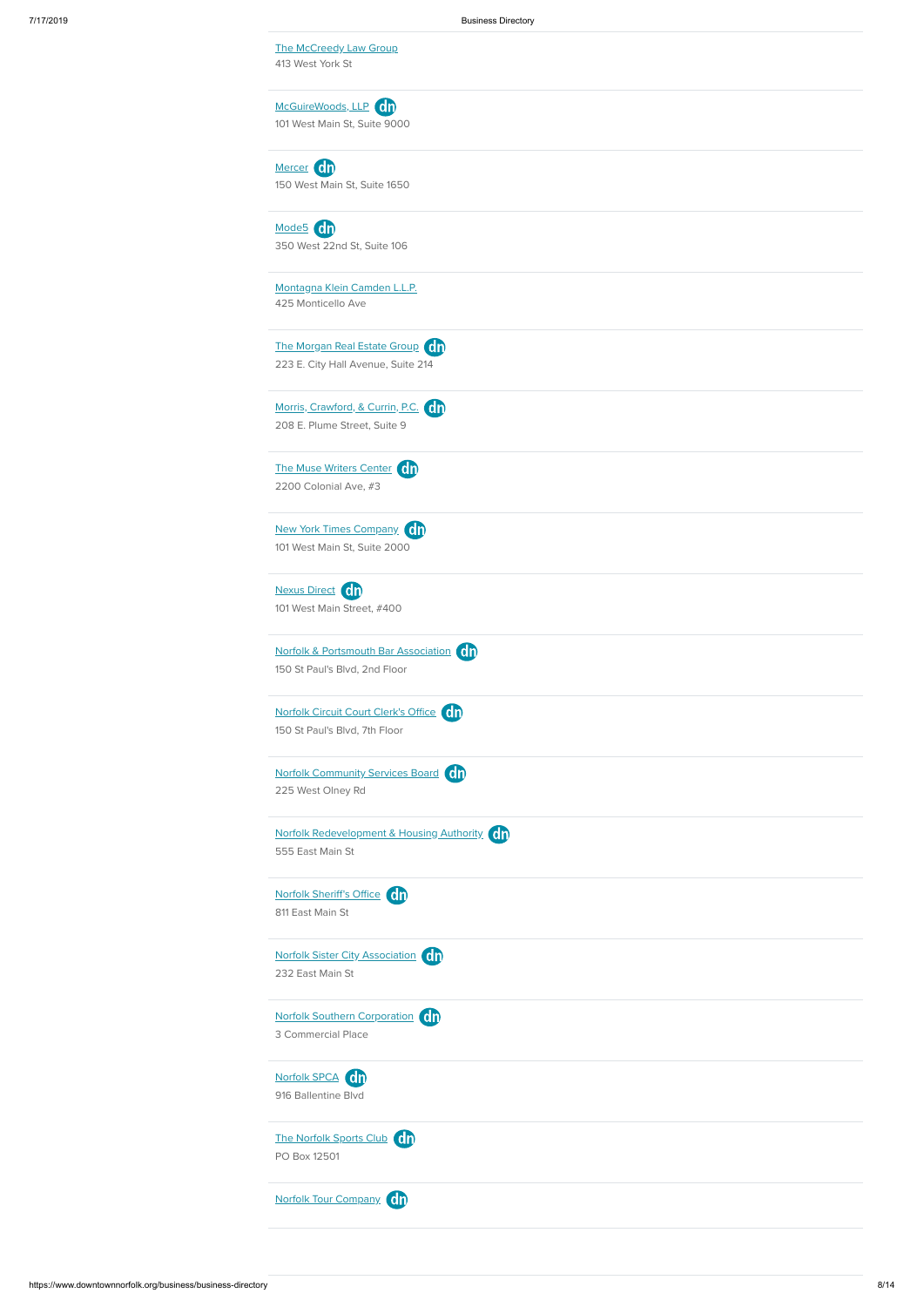| 7/17/2019 | <b>Business Directory</b>                                           |
|-----------|---------------------------------------------------------------------|
|           | The McCreedy Law Group                                              |
|           | 413 West York St                                                    |
|           |                                                                     |
|           | McGuireWoods, LLP 0n                                                |
|           | 101 West Main St, Suite 9000                                        |
|           |                                                                     |
|           | Mercer Cn                                                           |
|           | 150 West Main St, Suite 1650                                        |
|           |                                                                     |
|           | Mode5 Cn                                                            |
|           | 350 West 22nd St, Suite 106                                         |
|           |                                                                     |
|           | Montagna Klein Camden L.L.P.                                        |
|           | 425 Monticello Ave                                                  |
|           |                                                                     |
|           | The Morgan Real Estate Group Cn                                     |
|           | 223 E. City Hall Avenue, Suite 214                                  |
|           |                                                                     |
|           | Morris, Crawford, & Currin, P.C. 00<br>208 E. Plume Street, Suite 9 |
|           |                                                                     |
|           | The Muse Writers Center Cn                                          |
|           | 2200 Colonial Ave, #3                                               |
|           |                                                                     |
|           | New York Times Company (01)                                         |
|           | 101 West Main St, Suite 2000                                        |
|           |                                                                     |
|           | Nexus Direct Cn                                                     |
|           | 101 West Main Street, #400                                          |
|           |                                                                     |
|           | Norfolk & Portsmouth Bar Association Cn                             |
|           | 150 St Paul's Blvd, 2nd Floor                                       |
|           |                                                                     |
|           | Norfolk Circuit Court Clerk's Office Cn                             |
|           | 150 St Paul's Blvd, 7th Floor                                       |
|           |                                                                     |
|           | Norfolk Community Services Board Cn                                 |
|           | 225 West Olney Rd                                                   |
|           |                                                                     |
|           | Norfolk Redevelopment & Housing Authority (On                       |
|           | 555 East Main St                                                    |
|           |                                                                     |
|           | Norfolk Sheriff's Office Cn                                         |
|           | 811 East Main St                                                    |
|           |                                                                     |

| Norfolk Sister City Association On |  |
|------------------------------------|--|
| 232 East Main St                   |  |

The [Norfolk](https://www.downtownnorfolk.org/go/the-norfolk-sports-club) Sports Club (dn PO Box 12501



3 Commercial Place



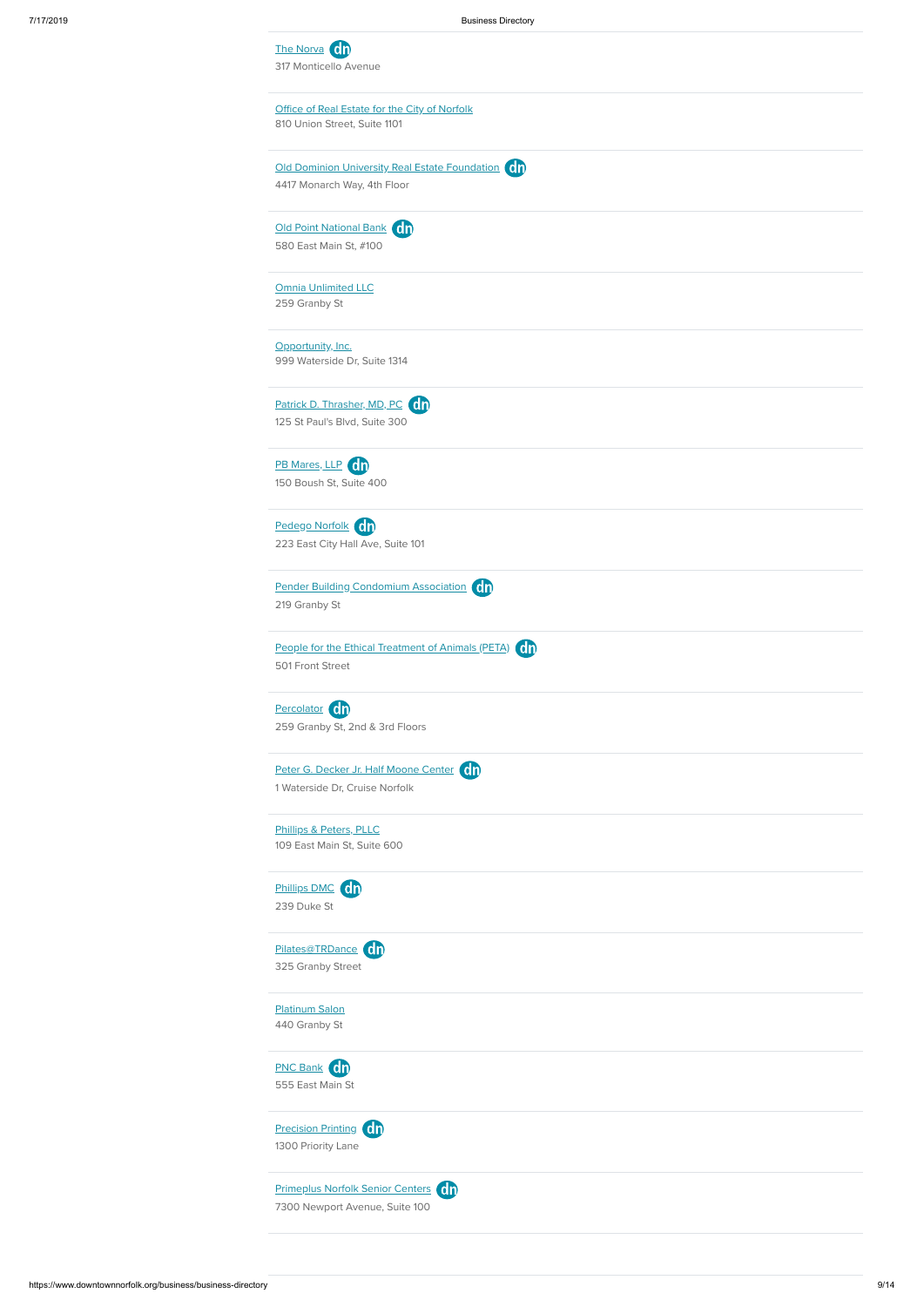| The Norva <sup>c</sup> n<br>317 Monticello Avenue                                              |
|------------------------------------------------------------------------------------------------|
| Office of Real Estate for the City of Norfolk<br>810 Union Street, Suite 1101                  |
| Old Dominion University Real Estate Foundation Cn<br>4417 Monarch Way, 4th Floor               |
| Old Point National Bank On<br>580 East Main St, #100                                           |
| <b>Omnia Unlimited LLC</b><br>259 Granby St                                                    |
| Opportunity, Inc.<br>999 Waterside Dr, Suite 1314                                              |
| Patrick D. Thrasher, MD, PC Cn<br>125 St Paul's Blvd, Suite 300                                |
| PB Mares, LLP Cn<br>150 Boush St, Suite 400                                                    |
| Pedego Norfolk Cn<br>223 East City Hall Ave, Suite 101                                         |
| Pender Building Condomium Association On<br>219 Granby St                                      |
| People for the Ethical Treatment of Animals (PETA)<br><b>C<sub>D</sub></b><br>501 Front Street |
| Percolator On<br>259 Granby St, 2nd & 3rd Floors                                               |
| Peter G. Decker Jr. Half Moone Center Cn<br>1 Waterside Dr, Cruise Norfolk                     |
| Phillips & Peters, PLLC<br>109 East Main St, Suite 600                                         |
| Phillips DMC Cn<br>239 Duke St                                                                 |
| Pilates@TRDance Cn                                                                             |

325 Granby Street

[Platinum](https://www.downtownnorfolk.org/go/platinum-salon) Salon 440 Granby St





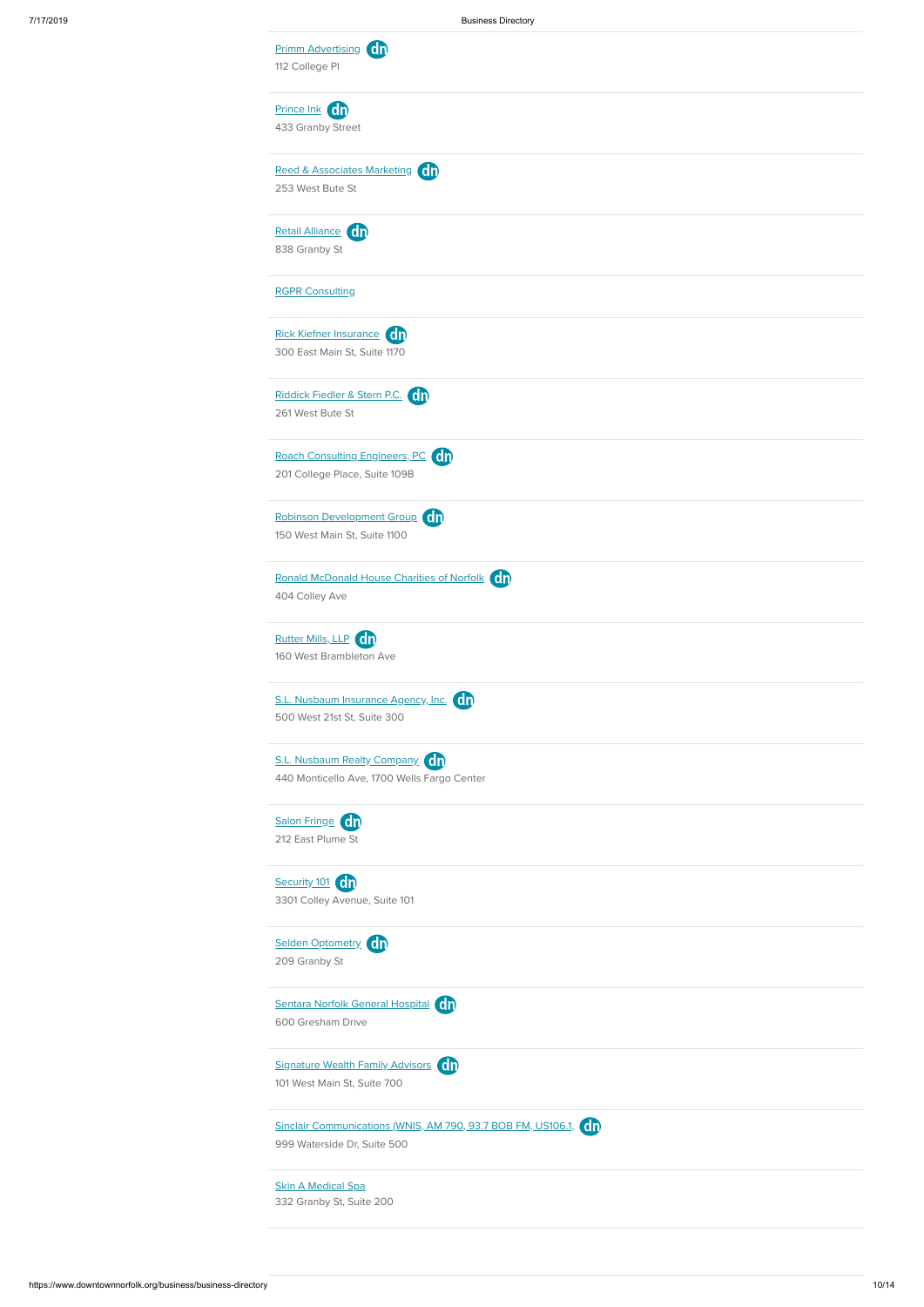| Prince Ink Cn<br>433 Granby Street<br>Reed & Associates Marketing Cn<br>253 West Bute St<br>Retail Alliance dn<br>838 Granby St |                                                                                                                                                                                                                                                                                                                                                                                                                                                                                                                                                                                           |                                               |                     |
|---------------------------------------------------------------------------------------------------------------------------------|-------------------------------------------------------------------------------------------------------------------------------------------------------------------------------------------------------------------------------------------------------------------------------------------------------------------------------------------------------------------------------------------------------------------------------------------------------------------------------------------------------------------------------------------------------------------------------------------|-----------------------------------------------|---------------------|
|                                                                                                                                 |                                                                                                                                                                                                                                                                                                                                                                                                                                                                                                                                                                                           |                                               |                     |
|                                                                                                                                 |                                                                                                                                                                                                                                                                                                                                                                                                                                                                                                                                                                                           |                                               |                     |
|                                                                                                                                 |                                                                                                                                                                                                                                                                                                                                                                                                                                                                                                                                                                                           |                                               |                     |
|                                                                                                                                 |                                                                                                                                                                                                                                                                                                                                                                                                                                                                                                                                                                                           |                                               |                     |
| <b>RGPR Consulting</b>                                                                                                          |                                                                                                                                                                                                                                                                                                                                                                                                                                                                                                                                                                                           |                                               |                     |
|                                                                                                                                 |                                                                                                                                                                                                                                                                                                                                                                                                                                                                                                                                                                                           |                                               |                     |
|                                                                                                                                 |                                                                                                                                                                                                                                                                                                                                                                                                                                                                                                                                                                                           |                                               |                     |
|                                                                                                                                 |                                                                                                                                                                                                                                                                                                                                                                                                                                                                                                                                                                                           |                                               |                     |
|                                                                                                                                 |                                                                                                                                                                                                                                                                                                                                                                                                                                                                                                                                                                                           |                                               |                     |
|                                                                                                                                 |                                                                                                                                                                                                                                                                                                                                                                                                                                                                                                                                                                                           |                                               |                     |
|                                                                                                                                 |                                                                                                                                                                                                                                                                                                                                                                                                                                                                                                                                                                                           |                                               |                     |
|                                                                                                                                 |                                                                                                                                                                                                                                                                                                                                                                                                                                                                                                                                                                                           |                                               |                     |
|                                                                                                                                 |                                                                                                                                                                                                                                                                                                                                                                                                                                                                                                                                                                                           |                                               |                     |
|                                                                                                                                 |                                                                                                                                                                                                                                                                                                                                                                                                                                                                                                                                                                                           |                                               |                     |
|                                                                                                                                 |                                                                                                                                                                                                                                                                                                                                                                                                                                                                                                                                                                                           |                                               |                     |
|                                                                                                                                 |                                                                                                                                                                                                                                                                                                                                                                                                                                                                                                                                                                                           |                                               |                     |
|                                                                                                                                 |                                                                                                                                                                                                                                                                                                                                                                                                                                                                                                                                                                                           |                                               |                     |
|                                                                                                                                 |                                                                                                                                                                                                                                                                                                                                                                                                                                                                                                                                                                                           |                                               |                     |
|                                                                                                                                 |                                                                                                                                                                                                                                                                                                                                                                                                                                                                                                                                                                                           |                                               |                     |
|                                                                                                                                 |                                                                                                                                                                                                                                                                                                                                                                                                                                                                                                                                                                                           |                                               |                     |
|                                                                                                                                 | Rick Kiefner Insurance Cn<br>300 East Main St, Suite 1170<br>Riddick Fiedler & Stern P.C. On<br>261 West Bute St<br>Roach Consulting Engineers, PC Cn<br>201 College Place, Suite 109B<br>Robinson Development Group Cn<br>150 West Main St, Suite 1100<br>404 Colley Ave<br>Rutter Mills, LLP Cn<br>160 West Brambleton Ave<br>S.L. Nusbaum Insurance Agency, Inc. <b>ch</b><br>500 West 21st St, Suite 300<br>S.L. Nusbaum Realty Company Cn<br>440 Monticello Ave, 1700 Wells Fargo Center<br>Salon Fringe Cn<br>212 East Plume St<br>Security 101 Cn<br>3301 Colley Avenue, Suite 101 | Ronald McDonald House Charities of Norfolk ch | Selden Optometry Cn |

Sentara Norfolk General [Hospital](https://www.downtownnorfolk.org/go/sentara-norfolk-general-hospital) On

209 Granby St

[Signature](https://www.downtownnorfolk.org/go/signature) Wealth Family Advisors On

600 Gresham Drive

101 West Main St, Suite 700



999 Waterside Dr, Suite 500

Skin A [Medical](https://www.downtownnorfolk.org/go/skin-a-medical-spa) Spa

332 Granby St, Suite 200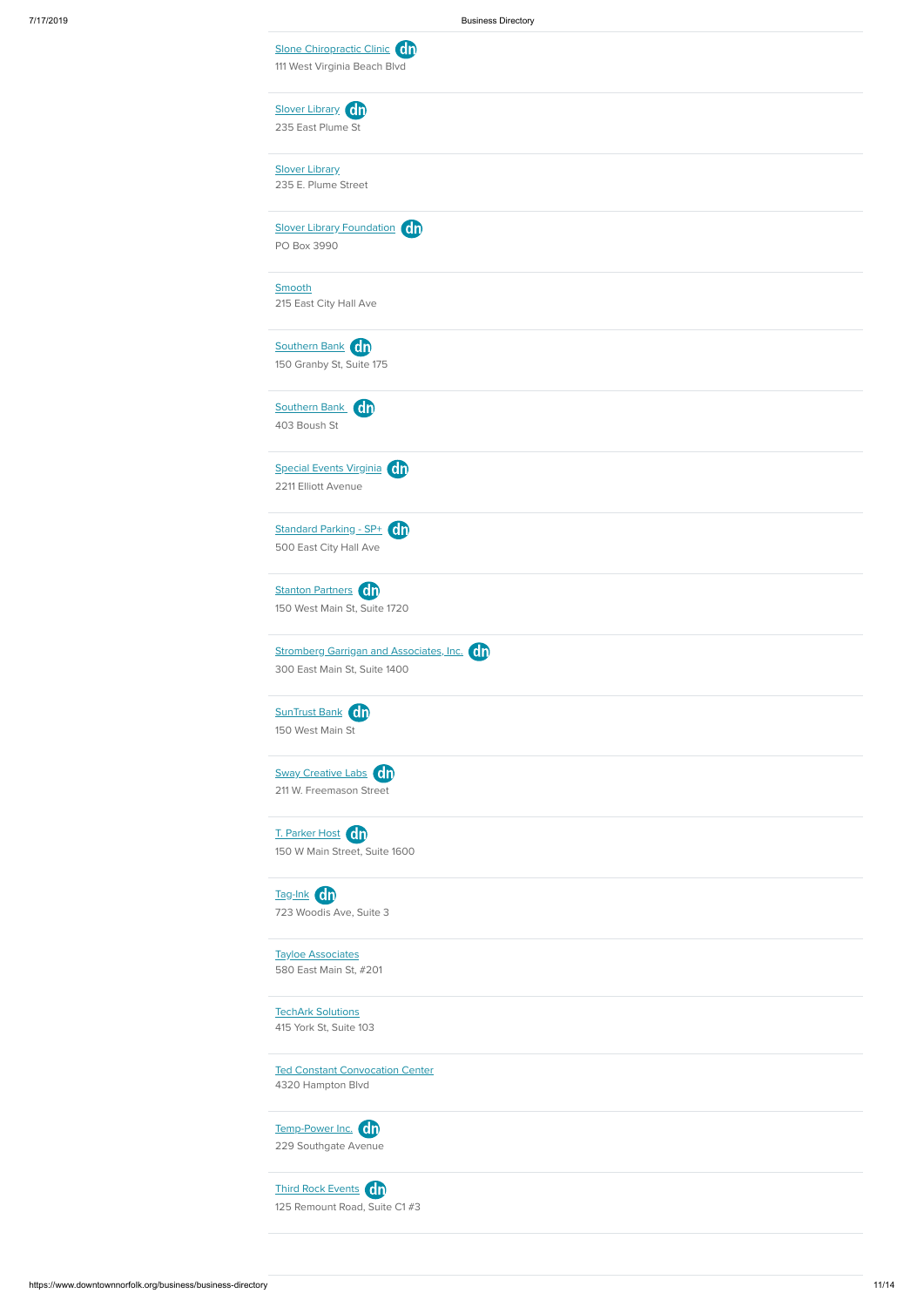| Slone Chiropractic Clinic Cn<br>111 West Virginia Beach Blvd               |
|----------------------------------------------------------------------------|
| Slover Library dn<br>235 East Plume St                                     |
| <b>Slover Library</b><br>235 E. Plume Street                               |
| Slover Library Foundation dn<br>PO Box 3990                                |
| Smooth<br>215 East City Hall Ave                                           |
| Southern Bank On<br>150 Granby St, Suite 175                               |
| Southern Bank Cn<br>403 Boush St                                           |
| Special Events Virginia (dn<br>2211 Elliott Avenue                         |
| Standard Parking - SP+ dn<br>500 East City Hall Ave                        |
| Stanton Partners On<br>150 West Main St, Suite 1720                        |
| Stromberg Garrigan and Associates, Inc. On<br>300 East Main St, Suite 1400 |
| SunTrust Bank Cn<br>150 West Main St                                       |
| Sway Creative Labs On<br>211 W. Freemason Street                           |
| T. Parker Host Cn<br>150 W Main Street, Suite 1600                         |
| Tag-Ink Cn<br>723 Woodis Ave, Suite 3                                      |

[Temp-Power](https://www.downtownnorfolk.org/go/temp-power-inc) Inc. 0n 229 Southgate Avenue

Tayloe [Associates](https://www.downtownnorfolk.org/go/tayloe-associates) 580 East Main St, #201

**TechArk [Solutions](https://www.downtownnorfolk.org/go/techark-solutions)** 

415 York St, Suite 103

Ted Constant [Convocation](https://www.downtownnorfolk.org/go/ted-constant-convocation-center) Center

4320 Hampton Blvd

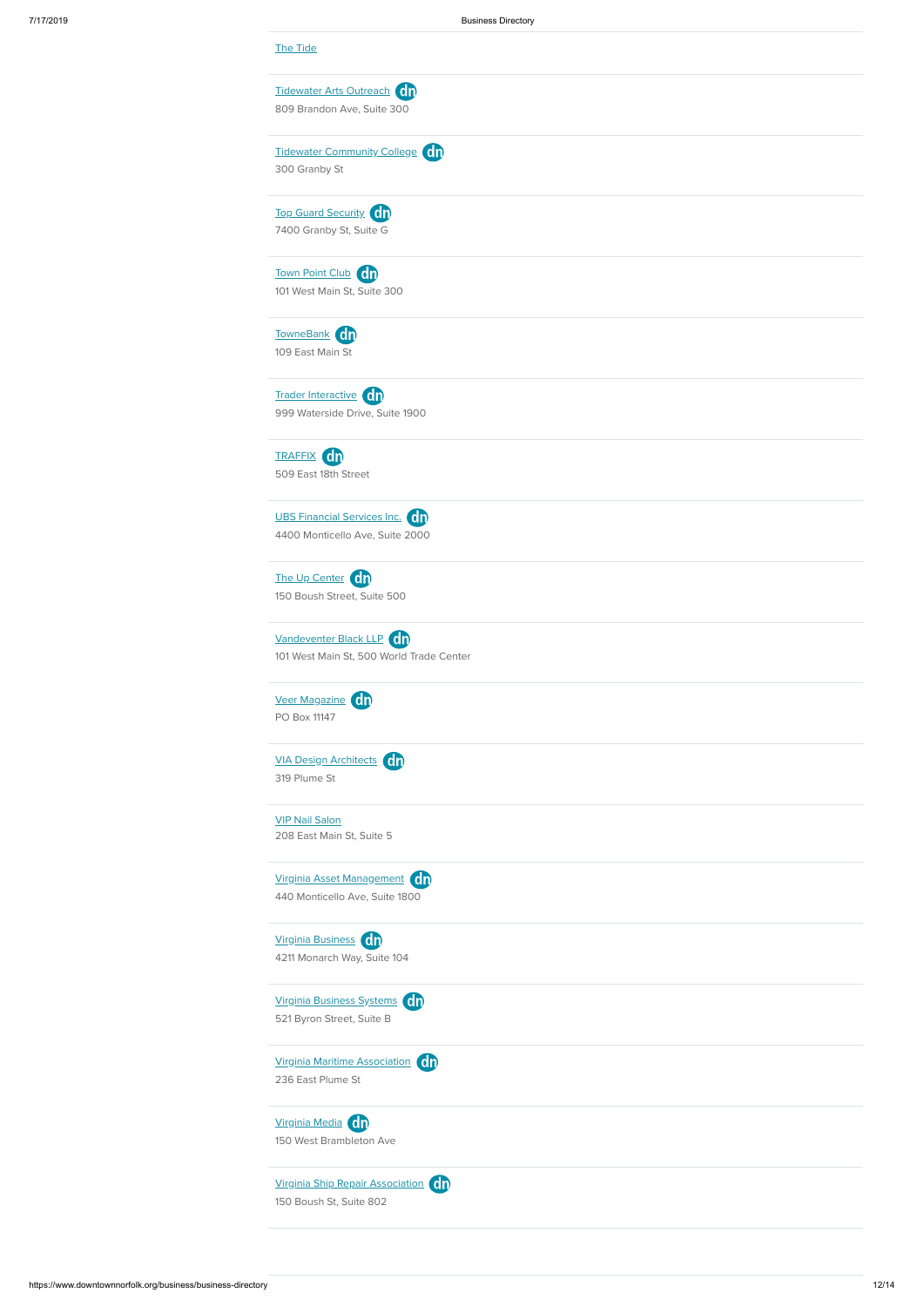| <b>The Tide</b><br>Tidewater Arts Outreach dn<br>809 Brandon Ave, Suite 300<br>Tidewater Community College <b>On</b><br>300 Granby St<br><b>Top Guard Security</b> On<br>7400 Granby St, Suite G<br>101 West Main St, Suite 300<br>The Up Center Cn<br>150 Boush Street, Suite 500<br>Vandeventer Black LLP (dn<br>101 West Main St, 500 World Trade Center<br>Veer Magazine Cn<br>PO Box 11147<br>VIA Design Architects On<br>319 Plume St |                                 |  |
|---------------------------------------------------------------------------------------------------------------------------------------------------------------------------------------------------------------------------------------------------------------------------------------------------------------------------------------------------------------------------------------------------------------------------------------------|---------------------------------|--|
|                                                                                                                                                                                                                                                                                                                                                                                                                                             |                                 |  |
|                                                                                                                                                                                                                                                                                                                                                                                                                                             |                                 |  |
|                                                                                                                                                                                                                                                                                                                                                                                                                                             |                                 |  |
|                                                                                                                                                                                                                                                                                                                                                                                                                                             |                                 |  |
|                                                                                                                                                                                                                                                                                                                                                                                                                                             |                                 |  |
|                                                                                                                                                                                                                                                                                                                                                                                                                                             |                                 |  |
|                                                                                                                                                                                                                                                                                                                                                                                                                                             |                                 |  |
|                                                                                                                                                                                                                                                                                                                                                                                                                                             |                                 |  |
|                                                                                                                                                                                                                                                                                                                                                                                                                                             |                                 |  |
|                                                                                                                                                                                                                                                                                                                                                                                                                                             |                                 |  |
|                                                                                                                                                                                                                                                                                                                                                                                                                                             | Town Point Club Cn              |  |
|                                                                                                                                                                                                                                                                                                                                                                                                                                             |                                 |  |
|                                                                                                                                                                                                                                                                                                                                                                                                                                             |                                 |  |
|                                                                                                                                                                                                                                                                                                                                                                                                                                             | TowneBank dn                    |  |
|                                                                                                                                                                                                                                                                                                                                                                                                                                             | 109 East Main St                |  |
|                                                                                                                                                                                                                                                                                                                                                                                                                                             |                                 |  |
|                                                                                                                                                                                                                                                                                                                                                                                                                                             | Trader Interactive Cn           |  |
|                                                                                                                                                                                                                                                                                                                                                                                                                                             | 999 Waterside Drive, Suite 1900 |  |
|                                                                                                                                                                                                                                                                                                                                                                                                                                             |                                 |  |
|                                                                                                                                                                                                                                                                                                                                                                                                                                             | <b>TRAFFIX Cn</b>               |  |
|                                                                                                                                                                                                                                                                                                                                                                                                                                             | 509 East 18th Street            |  |
|                                                                                                                                                                                                                                                                                                                                                                                                                                             |                                 |  |
|                                                                                                                                                                                                                                                                                                                                                                                                                                             | UBS Financial Services Inc. On  |  |
|                                                                                                                                                                                                                                                                                                                                                                                                                                             | 4400 Monticello Ave, Suite 2000 |  |
|                                                                                                                                                                                                                                                                                                                                                                                                                                             |                                 |  |
|                                                                                                                                                                                                                                                                                                                                                                                                                                             |                                 |  |
|                                                                                                                                                                                                                                                                                                                                                                                                                                             |                                 |  |
|                                                                                                                                                                                                                                                                                                                                                                                                                                             |                                 |  |
|                                                                                                                                                                                                                                                                                                                                                                                                                                             |                                 |  |
|                                                                                                                                                                                                                                                                                                                                                                                                                                             |                                 |  |
|                                                                                                                                                                                                                                                                                                                                                                                                                                             |                                 |  |
|                                                                                                                                                                                                                                                                                                                                                                                                                                             |                                 |  |
|                                                                                                                                                                                                                                                                                                                                                                                                                                             |                                 |  |
|                                                                                                                                                                                                                                                                                                                                                                                                                                             |                                 |  |
|                                                                                                                                                                                                                                                                                                                                                                                                                                             |                                 |  |
|                                                                                                                                                                                                                                                                                                                                                                                                                                             |                                 |  |
|                                                                                                                                                                                                                                                                                                                                                                                                                                             | <b>VIP Nail Salon</b>           |  |
|                                                                                                                                                                                                                                                                                                                                                                                                                                             | 208 East Main St, Suite 5       |  |
|                                                                                                                                                                                                                                                                                                                                                                                                                                             |                                 |  |
|                                                                                                                                                                                                                                                                                                                                                                                                                                             | Virginia Asset Management On    |  |
|                                                                                                                                                                                                                                                                                                                                                                                                                                             | 440 Monticello Ave, Suite 1800  |  |
|                                                                                                                                                                                                                                                                                                                                                                                                                                             |                                 |  |

Virginia [Business](https://www.downtownnorfolk.org/go/virginia-business) 4211 Monarch Way, Suite 104









150 Boush St, Suite 802